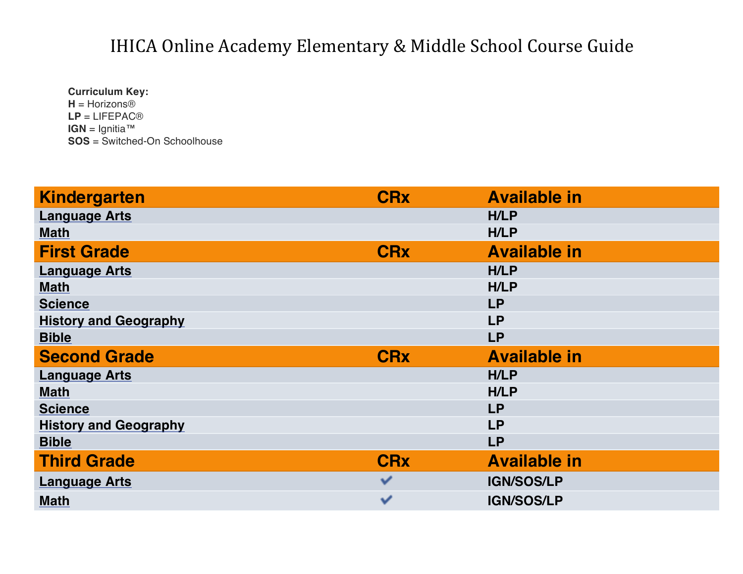**Curriculum Key: H** = Horizons® **LP** = LIFEPAC® **IGN** = Ignitia™ **SOS** = Switched-On Schoolhouse

| <b>Kindergarten</b>          | <b>CR<sub>x</sub></b> | <b>Available in</b> |
|------------------------------|-----------------------|---------------------|
| <b>Language Arts</b>         |                       | <b>H/LP</b>         |
| <b>Math</b>                  |                       | <b>H/LP</b>         |
| <b>First Grade</b>           | <b>CRx</b>            | <b>Available in</b> |
| <b>Language Arts</b>         |                       | <b>H/LP</b>         |
| <b>Math</b>                  |                       | <b>H/LP</b>         |
| <b>Science</b>               |                       | <b>LP</b>           |
| <b>History and Geography</b> |                       | <b>LP</b>           |
| <b>Bible</b>                 |                       | <b>LP</b>           |
| <b>Second Grade</b>          | <b>CRx</b>            | <b>Available in</b> |
| <b>Language Arts</b>         |                       | <b>H/LP</b>         |
| <b>Math</b>                  |                       | <b>H/LP</b>         |
| <b>Science</b>               |                       | <b>LP</b>           |
| <b>History and Geography</b> |                       | <b>LP</b>           |
| <b>Bible</b>                 |                       | <b>LP</b>           |
| <b>Third Grade</b>           |                       |                     |
|                              | <b>CRx</b>            | <b>Available in</b> |
| <b>Language Arts</b>         | ✓                     | <b>IGN/SOS/LP</b>   |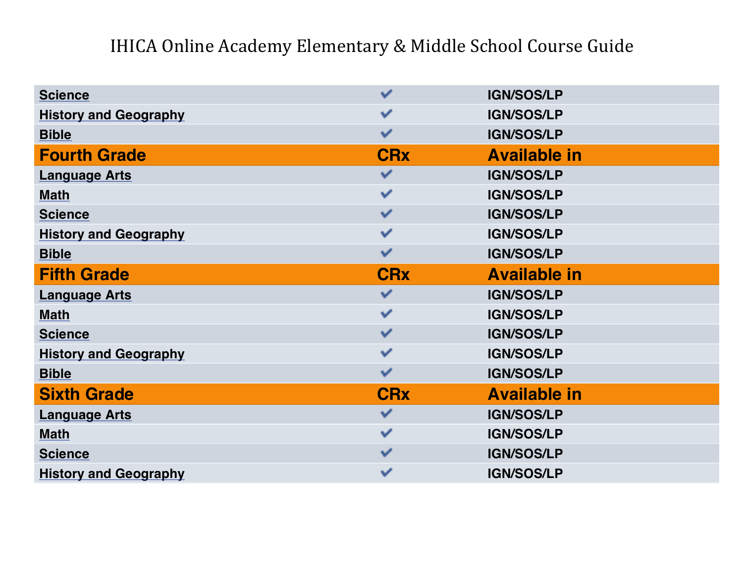| <b>Science</b>               | ✓                     | <b>IGN/SOS/LP</b>   |
|------------------------------|-----------------------|---------------------|
| <b>History and Geography</b> | ✓                     | <b>IGN/SOS/LP</b>   |
| <b>Bible</b>                 | ✓                     | <b>IGN/SOS/LP</b>   |
| <b>Fourth Grade</b>          | <b>CRx</b>            | <b>Available in</b> |
| <b>Language Arts</b>         | ✓                     | <b>IGN/SOS/LP</b>   |
| <b>Math</b>                  | ✓                     | <b>IGN/SOS/LP</b>   |
| <b>Science</b>               | ✓                     | <b>IGN/SOS/LP</b>   |
| <b>History and Geography</b> | ✓                     | <b>IGN/SOS/LP</b>   |
| <b>Bible</b>                 | ✓                     | <b>IGN/SOS/LP</b>   |
| <b>Fifth Grade</b>           | <b>CR<sub>x</sub></b> | <b>Available in</b> |
|                              |                       |                     |
| <b>Language Arts</b>         | ✓                     | <b>IGN/SOS/LP</b>   |
| <b>Math</b>                  | v                     | <b>IGN/SOS/LP</b>   |
| <b>Science</b>               | ✓                     | <b>IGN/SOS/LP</b>   |
| <b>History and Geography</b> | ✓                     | <b>IGN/SOS/LP</b>   |
| <b>Bible</b>                 | ✓                     | <b>IGN/SOS/LP</b>   |
| <b>Sixth Grade</b>           | <b>CRx</b>            | <b>Available in</b> |
| <b>Language Arts</b>         | v                     | <b>IGN/SOS/LP</b>   |
| <b>Math</b>                  | v                     | <b>IGN/SOS/LP</b>   |
| <b>Science</b>               | v                     | <b>IGN/SOS/LP</b>   |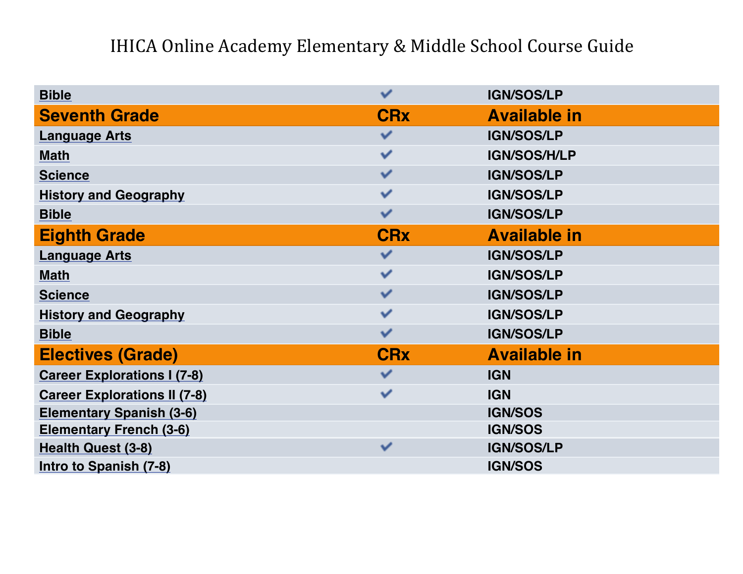| <b>Bible</b>                        | ✓                     | <b>IGN/SOS/LP</b>   |
|-------------------------------------|-----------------------|---------------------|
| <b>Seventh Grade</b>                | <b>CRx</b>            | <b>Available in</b> |
| <b>Language Arts</b>                | $\checkmark$          | <b>IGN/SOS/LP</b>   |
| <b>Math</b>                         | $\checkmark$          | IGN/SOS/H/LP        |
| <b>Science</b>                      | v                     | <b>IGN/SOS/LP</b>   |
| <b>History and Geography</b>        | ✓                     | <b>IGN/SOS/LP</b>   |
| <b>Bible</b>                        | ✓                     | <b>IGN/SOS/LP</b>   |
| <b>Eighth Grade</b>                 | <b>CRx</b>            | <b>Available in</b> |
| <b>Language Arts</b>                | $\checkmark$          | <b>IGN/SOS/LP</b>   |
| <b>Math</b>                         | $\checkmark$          | <b>IGN/SOS/LP</b>   |
| <b>Science</b>                      | v                     | <b>IGN/SOS/LP</b>   |
| <b>History and Geography</b>        | ✓                     | <b>IGN/SOS/LP</b>   |
| <b>Bible</b>                        | ✓                     | <b>IGN/SOS/LP</b>   |
| <b>Electives (Grade)</b>            | <b>CR<sub>x</sub></b> | <b>Available in</b> |
| <b>Career Explorations I (7-8)</b>  | $\checkmark$          | <b>IGN</b>          |
| <b>Career Explorations II (7-8)</b> | $\checkmark$          | <b>IGN</b>          |
| <b>Elementary Spanish (3-6)</b>     |                       | <b>IGN/SOS</b>      |
| <b>Elementary French (3-6)</b>      |                       | <b>IGN/SOS</b>      |
| <b>Health Quest (3-8)</b>           | $\checkmark$          | <b>IGN/SOS/LP</b>   |
| Intro to Spanish (7-8)              |                       | <b>IGN/SOS</b>      |